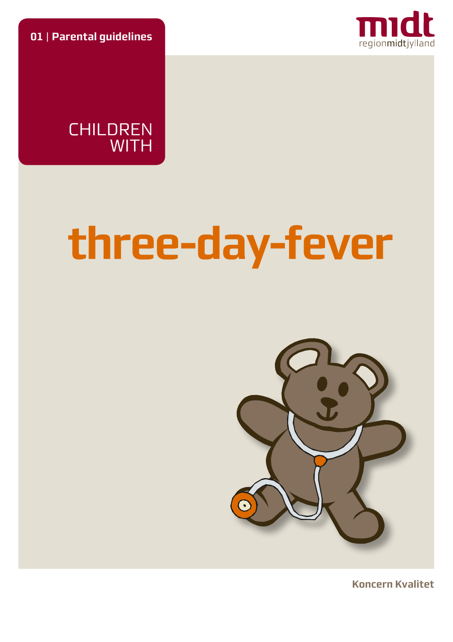**01** | **Parental guidelines**





# **three-day-fever**



**Koncern Kvalitet**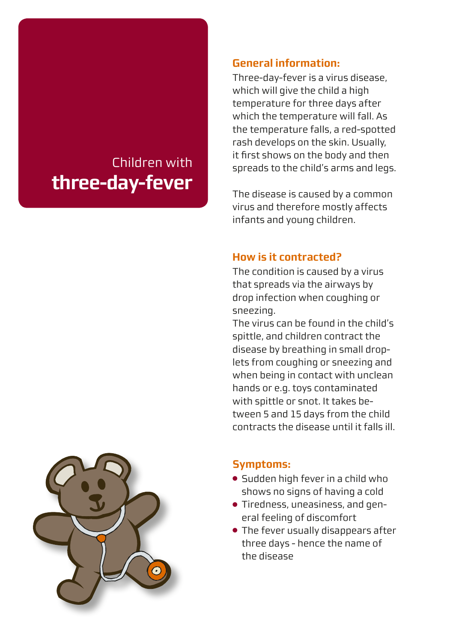# Children with **three-day-fever**

#### **General information:**

Three-day-fever is a virus disease, which will give the child a high temperature for three days after which the temperature will fall. As the temperature falls, a red-spotted rash develops on the skin. Usually, it first shows on the body and then spreads to the child's arms and legs.

The disease is caused by a common virus and therefore mostly affects infants and young children.

#### **How is it contracted?**

The condition is caused by a virus that spreads via the airways by drop infection when coughing or sneezing.

The virus can be found in the child's spittle, and children contract the disease by breathing in small droplets from coughing or sneezing and when being in contact with unclean hands or e.g. toys contaminated with spittle or snot. It takes between 5 and 15 days from the child contracts the disease until it falls ill.



#### **Symptoms:**

- Sudden high fever in a child who shows no signs of having a cold
- Tiredness, uneasiness, and general feeling of discomfort
- The fever usually disappears after three days - hence the name of the disease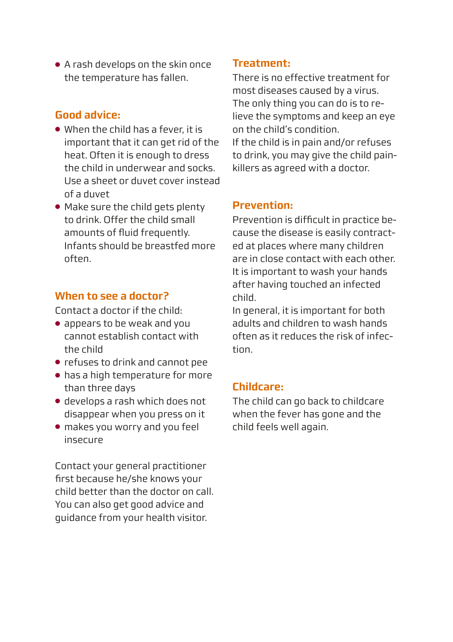● A rash develops on the skin once the temperature has fallen.

# **Good advice:**

- When the child has a fever, it is important that it can get rid of the heat. Often it is enough to dress the child in underwear and socks. Use a sheet or duvet cover instead of a duvet
- Make sure the child gets plenty to drink. Offer the child small amounts of fluid frequently. Infants should be breastfed more often.

#### **When to see a doctor?**

Contact a doctor if the child:

- appears to be weak and you cannot establish contact with the child
- refuses to drink and cannot pee
- has a high temperature for more than three days
- develops a rash which does not disappear when you press on it
- makes you worry and you feel insecure

Contact your general practitioner first because he/she knows your child better than the doctor on call. You can also get good advice and guidance from your health visitor.

## **Treatment:**

There is no effective treatment for most diseases caused by a virus. The only thing you can do is to relieve the symptoms and keep an eye on the child's condition. If the child is in pain and/or refuses to drink, you may give the child painkillers as agreed with a doctor.

#### **Prevention:**

Prevention is difficult in practice because the disease is easily contracted at places where many children are in close contact with each other. It is important to wash your hands after having touched an infected child.

In general, it is important for both adults and children to wash hands often as it reduces the risk of infection.

#### **Childcare:**

The child can go back to childcare when the fever has gone and the child feels well again.